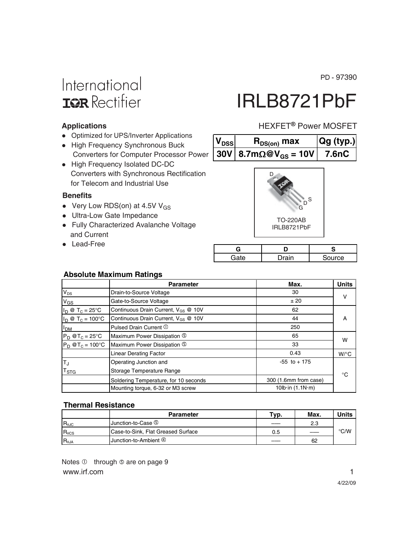PD - 97390

## International **IGR** Rectifier

# IRLB8721PbF

HEXFET<sup>®</sup> Power MOSFET

#### **Applications**

- Optimized for UPS/Inverter Applications
- High Frequency Synchronous Buck Converters for Computer Processor Power
- High Frequency Isolated DC-DC Converters with Synchronous Rectification for Telecom and Industrial Use

#### **Benefits**

- Very Low RDS(on) at 4.5V V<sub>GS</sub>
- Ultra-Low Gate Impedance
- Fully Characterized Avalanche Voltage and Current
- Lead-Free

| $D^{\text{S}}$<br>G |  |
|---------------------|--|

 $V_{DSS}$  **R**<sub>DS(on)</sub> max **Qg (typ.) 30V 8.7m** $\Omega$ **@V<sub>GS</sub> = 10V 7.6nC** 

> TO-220AB IRLB8721PbF

| ≁≏ | rain | urce |
|----|------|------|

#### **Absolute Maximum Ratings**

|                            | <b>Parameter</b>                                | Max.                  | <b>Units</b>    |  |
|----------------------------|-------------------------------------------------|-----------------------|-----------------|--|
| $V_{DS}$                   | Drain-to-Source Voltage                         | 30                    | $\vee$          |  |
| $V_{GS}$                   | Gate-to-Source Voltage                          | ±20                   |                 |  |
| $I_D @ T_C = 25^{\circ}C$  | Continuous Drain Current, V <sub>GS</sub> @ 10V | 62                    |                 |  |
| $I_D @ T_C = 100^{\circ}C$ | Continuous Drain Current, V <sub>GS</sub> @ 10V | 44                    | A               |  |
| I <sub>DM</sub>            | Pulsed Drain Current 1                          | 250                   |                 |  |
| $P_D @T_C = 25^\circ C$    | Maximum Power Dissipation 5                     | 65                    |                 |  |
| $P_D @T_C = 100°C$         | Maximum Power Dissipation 5                     | 33                    | w               |  |
|                            | Linear Derating Factor                          | 0.43                  | $W$ / $\circ$ C |  |
| $T_{\rm J}$                | Operating Junction and                          | $-55$ to $+175$       |                 |  |
| $T_{\mathsf{STG}}$         | Storage Temperature Range                       |                       | °C              |  |
|                            | Soldering Temperature, for 10 seconds           | 300 (1.6mm from case) |                 |  |
|                            | Mounting torque, 6-32 or M3 screw               | 10lb in (1.1N m)      |                 |  |

#### **Thermal Resistance**

|                 | <b>Parameter</b>                   | Typ. | Max. | Units         |
|-----------------|------------------------------------|------|------|---------------|
| $R_{\theta$ JC  | Junction-to-Case 5                 |      | 2.3  |               |
| $R_{\theta CS}$ | Case-to-Sink, Flat Greased Surface | 0.5  | ---- | $\degree$ C/W |
| $R_{\theta JA}$ | Junction-to-Ambient 4              |      | 62   |               |

www.irf.com 1 Notes  $\overline{0}$  through  $\overline{0}$  are on page 9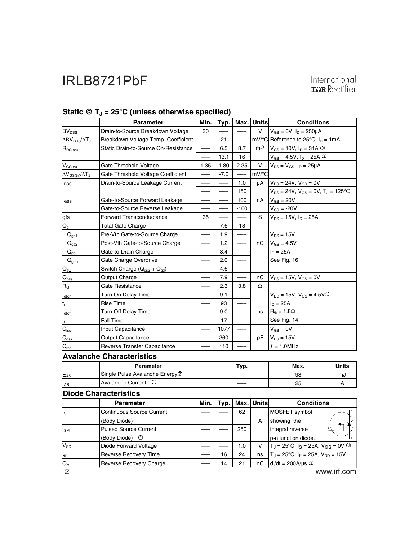|                                         | <b>Parameter</b>                           | Min. | Typ.   | Max.   | <b>Units</b> | <b>Conditions</b>                               |              |
|-----------------------------------------|--------------------------------------------|------|--------|--------|--------------|-------------------------------------------------|--------------|
| <b>BV<sub>DSS</sub></b>                 | Drain-to-Source Breakdown Voltage          | 30   |        |        | v            | $V_{GS} = 0V$ , $I_D = 250 \mu A$               |              |
| $\Delta BV_{DSS}/\Delta T_J$            | Breakdown Voltage Temp. Coefficient        |      | 21     |        |              | mV/°C Reference to 25°C, $I_D = 1mA$            |              |
| $R_{DS(on)}$                            | Static Drain-to-Source On-Resistance       |      | 6.5    | 8.7    | $m\Omega$    | $V_{GS} = 10V, I_D = 31A$ 3                     |              |
|                                         |                                            |      | 13.1   | 16     |              | $V_{GS} = 4.5V$ , $I_D = 25A$ 3                 |              |
| $V_{GS(th)}$                            | Gate Threshold Voltage                     | 1.35 | 1.80   | 2.35   | v            | $V_{DS} = V_{GS}$ , $I_D = 25 \mu A$            |              |
| $\Delta V_{GS(th)}/\Delta T_J$          | Gate Threshold Voltage Coefficient         |      | $-7.0$ |        | mV/°C        |                                                 |              |
| <b>I</b> <sub>DSS</sub>                 | Drain-to-Source Leakage Current            |      |        | 1.0    | μA           | $V_{DS} = 24V$ , $V_{GS} = 0V$                  |              |
|                                         |                                            |      |        | 150    |              | $V_{DS} = 24V$ , $V_{GS} = 0V$ , $T_J = 125$ °C |              |
| $I_{GSS}$                               | Gate-to-Source Forward Leakage             |      |        | 100    | nA           | $V_{GS}$ = 20V                                  |              |
|                                         | Gate-to-Source Reverse Leakage             |      |        | $-100$ |              | $V_{GS} = -20V$                                 |              |
| gfs                                     | <b>Forward Transconductance</b>            | 35   |        |        | S            | $V_{DS} = 15V$ , $I_D = 25A$                    |              |
| $Q_{g}$                                 | <b>Total Gate Charge</b>                   |      | 7.6    | 13     |              |                                                 |              |
| $Q_{gs1}$                               | Pre-Vth Gate-to-Source Charge              |      | 1.9    |        |              | $V_{DS} = 15V$                                  |              |
| $Q_{gs2}$                               | Post-Vth Gate-to-Source Charge             |      | 1.2    |        | nC           | $V_{GS} = 4.5V$<br>$I_D = 25A$<br>See Fig. 16   |              |
| $Q_{gd}$                                | Gate-to-Drain Charge                       |      | 3.4    |        |              |                                                 |              |
| $Q_{\underline{\text{godr}}}$           | Gate Charge Overdrive                      |      | 2.0    |        |              |                                                 |              |
| $\mathsf{Q}_{\underline{\mathsf{sw}}}$  | Switch Charge $(Q_{gs2} + Q_{gd})$         |      | 4.6    |        |              |                                                 |              |
| $\mathsf{Q}_{\underline{\mathsf{oss}}}$ | Output Charge                              |      | 7.9    |        | пC           | $V_{DS} = 15V$ , $V_{GS} = 0V$                  |              |
| $R_{\underline{G}}$                     | Gate Resistance                            |      | 2.3    | 3.8    | Ω            |                                                 |              |
| $t_{d(on)}$                             | Turn-On Delay Time                         |      | 9.1    |        |              | $V_{DD} = 15V$ , $V_{GS} = 4.5V$ <sup>3</sup>   |              |
| $t_r$                                   | <b>Rise Time</b>                           |      | 93     |        |              | $I_D = 25A$                                     |              |
| $t_{d(off)}$                            | <b>Turn-Off Delay Time</b>                 |      | 9.0    |        | ns           | $R_G = 1.8\Omega$                               |              |
| $t_f$                                   | Fall Time                                  |      | 17     |        |              | See Fig. 14                                     |              |
| $C_{iss}$                               | Input Capacitance                          |      | 1077   |        |              | $V_{GS} = 0V$                                   |              |
| $C_{\text{oss}}$                        | <b>Output Capacitance</b>                  |      | 360    |        | рF           | $V_{DS} = 15V$<br>$f = 1.0$ MHz                 |              |
| $C_{\text{rss}}$                        | Reverse Transfer Capacitance               |      | 110    |        |              |                                                 |              |
| <b>Avalanche Characteristics</b>        |                                            |      |        |        |              |                                                 |              |
|                                         | Parameter                                  |      | Typ.   |        |              | Max.                                            | <b>Units</b> |
| $E_{AS}$                                | Single Pulse Avalanche Energy <sup>®</sup> |      |        |        |              | 98                                              | mJ           |
| $I_{AR}$                                | Avalanche Current ①                        |      |        |        |              | 25                                              | A            |
|                                         | <b>Diode Characteristics</b>               |      |        |        |              |                                                 |              |

### Static @ T<sub>J</sub> = 25°C (unless otherwise specified)

|             | <b>Parameter</b>                 | Min. | Tvp. |     | Max. Unitsl | <b>Conditions</b>                                   |  |
|-------------|----------------------------------|------|------|-----|-------------|-----------------------------------------------------|--|
| $I_{\rm S}$ | <b>Continuous Source Current</b> |      |      | 62  |             | MOSFET symbol                                       |  |
|             | (Body Diode)                     |      |      |     | A           | showing the                                         |  |
| $I_{SM}$    | <b>Pulsed Source Current</b>     |      |      | 250 |             | 6.<br>integral reverse                              |  |
|             | (Body Diode)<br>$\circ$          |      |      |     |             | p-n junction diode.                                 |  |
| $V_{SD}$    | Diode Forward Voltage            |      |      | 1.0 | v           | $T_J = 25^{\circ}C$ , $I_S = 25A$ , $V_{GS} = 0V$ 3 |  |
| $t_{rr}$    | Reverse Recovery Time            |      | 16   | 24  | ns          | $T_J = 25^{\circ}C$ , $I_F = 25A$ , $V_{DD} = 15V$  |  |
| $Q_{rr}$    | Reverse Recovery Charge          |      | 14   | 21  | nС          | $di/dt = 200A/\mu s$                                |  |
| റ           |                                  |      |      |     |             | www.irf.com                                         |  |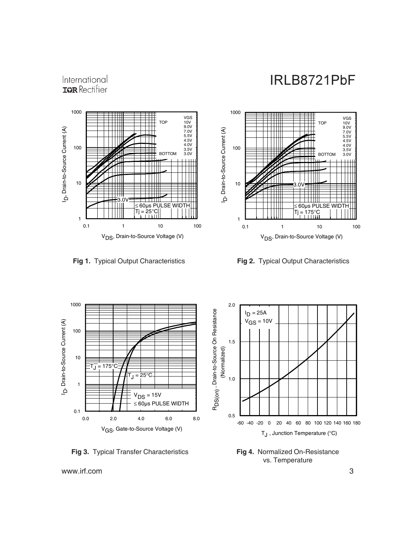### International **IGR** Rectifier









**Fig 4.** Normalized On-Resistance vs. Temperature

**Fig 3.** Typical Transfer Characteristics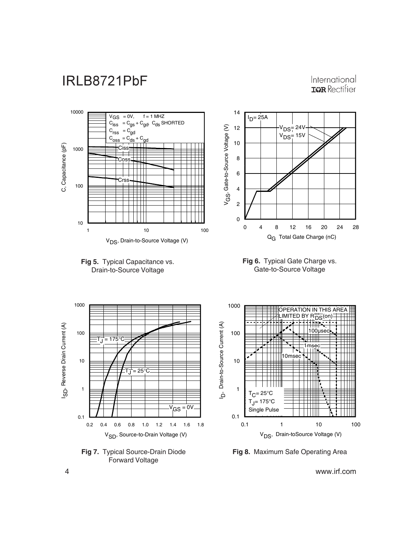#### International **IGR** Rectifier













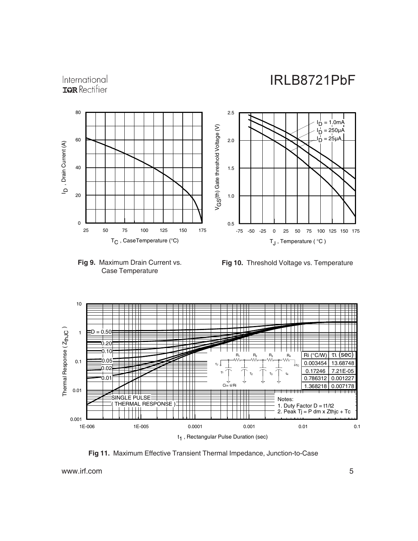#### International **IGR** Rectifier





**Fig 10.** Threshold Voltage vs. Temperature



**Fig 11.** Maximum Effective Transient Thermal Impedance, Junction-to-Case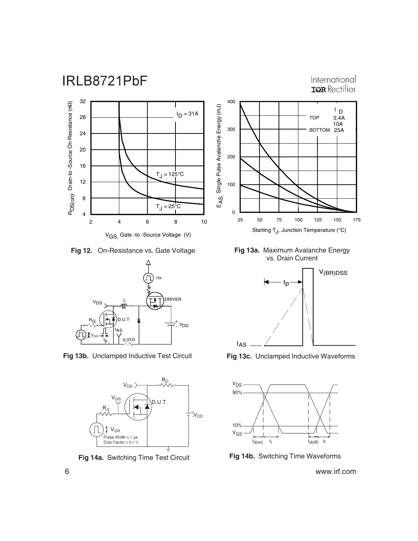

International **ISPR** Rectifier



V<sub>GS</sub>, Gate -to -Source Voltage (V)

**Fig 12.** On-Resistance vs. Gate Voltage



**Fig 13b.** Unclamped Inductive Test Circuit **Fig 13c.** Unclamped Inductive Waveforms



**Fig 14a.** Switching Time Test Circuit



**Fig 13a.** Maximum Avalanche Energy vs. Drain Current





**Fig 14b.** Switching Time Waveforms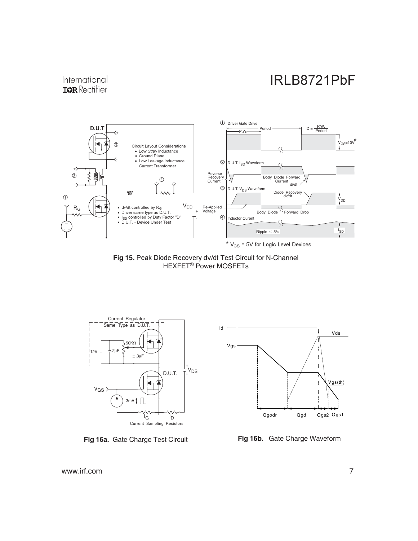#### International **IGR** Rectifier



Fig 15. Peak Diode Recovery dv/dt Test Circuit for N-Channel HEXFET<sup>®</sup> Power MOSFETs



**Fig 16a.** Gate Charge Test Circuit



**Fig 16b.** Gate Charge Waveform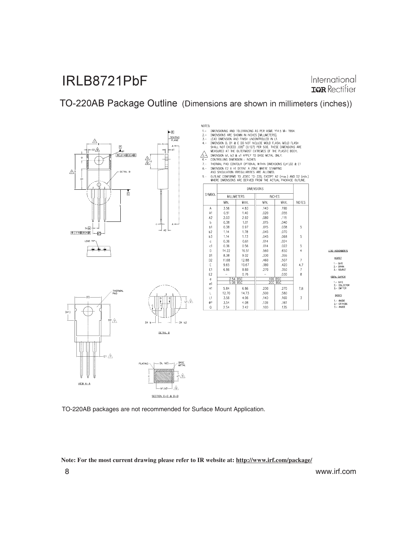International **IGR** Rectifier

TO-220AB Package Outline (Dimensions are shown in millimeters (inches))



 $\epsilon$ l $\overline{\mathbb{A}}$ 

 $VEN A - A$ 

NOTES:

S:<br>
DMENSIONING AND TOLERANCING AS PER ASME Y14.5 M- 1994,<br>
DMENSIONS ARE SHOWN IN INCHES [MILLIMETERS],<br>
LEAD DMENSION AND FINISH UNCONTROLLED IN 11,<br>
DMENSION D, D1 & E DO NOT INCLUDE MOLD FLASH, MOLD FLASH<br>
SHALL NOT EX  $1 \frac{2}{3}$  $4, \mathbf{R}$ OUTLINE CONFORMS TO JEDEC TO-220, EXCEPT A2 (max.) AND D2 (min.)

|                | DIMENSIONS         |       |               |      |                |  |  |  |
|----------------|--------------------|-------|---------------|------|----------------|--|--|--|
| SYMBOL         | <b>MILLIMETERS</b> |       | <b>INCHES</b> |      |                |  |  |  |
|                | MIN.               | MAX.  | MIN.          | MAX. | NOTES          |  |  |  |
| A              | 3.56               | 4.83  | .140          | .190 |                |  |  |  |
| A <sub>1</sub> | 0.51               | 1.40  | .020          | .055 |                |  |  |  |
| A <sub>2</sub> | 2.03               | 2.92  | ,080          | ,115 |                |  |  |  |
| b              | 0.38               | 1.01  | .015          | ,040 |                |  |  |  |
| b1             | 0.38               | 0.97  | .015          | .038 | 5              |  |  |  |
| b2             | 1.14               | 1.78  | .045          | .070 |                |  |  |  |
| b3             | 1.14               | 1.73  | .045          | .068 | 5              |  |  |  |
| $\mathbf c$    | 0.36               | 0.61  | .014          | .024 |                |  |  |  |
| c1             | 0.36               | 0.56  | .014          | .022 | 5              |  |  |  |
| D              | 14.22              | 16,51 | .560          | .650 | $\ddot{a}$     |  |  |  |
| D1             | 8.38               | 9.02  | .330          | .355 |                |  |  |  |
| D <sub>2</sub> | 11.68              | 12.88 | .460          | .507 | $\overline{7}$ |  |  |  |
| E              | 9.65               | 10.67 | .380          | .420 | 4,7            |  |  |  |
| E1             | 6.86               | 8.89  | .270          | .350 | $\overline{7}$ |  |  |  |
| E <sub>2</sub> |                    | 0.76  |               | .030 | 8              |  |  |  |
| e              | 2.54 BSC           |       |               |      |                |  |  |  |
| e1             | 5.08 BSC           |       | 100 BSC       |      |                |  |  |  |
| H1             | 5.84               | 6.86  | .230          | .270 | 7,8            |  |  |  |
| L              | 12.70              | 14.73 | .500          | .580 |                |  |  |  |
| L1             | 3.56               | 4.06  | ,140          | .160 | $\overline{3}$ |  |  |  |
| ØP             | 3.54               | 4.08  | .139          | .161 |                |  |  |  |
| 0              | 2.54               | 3.42  | .100          | .135 |                |  |  |  |

HEXFET CoPAC 2.− COLLECT<br>3.− FMITTER

LEAD ASSIGNMENTS

CATH

TO-220AB packages are not recommended for Surface Mount Application.

DETAIL B

**Note: For the most current drawing please refer to IR website at: http://www.irf.com/package/**

A

⚠ SECTION C-C & D-D